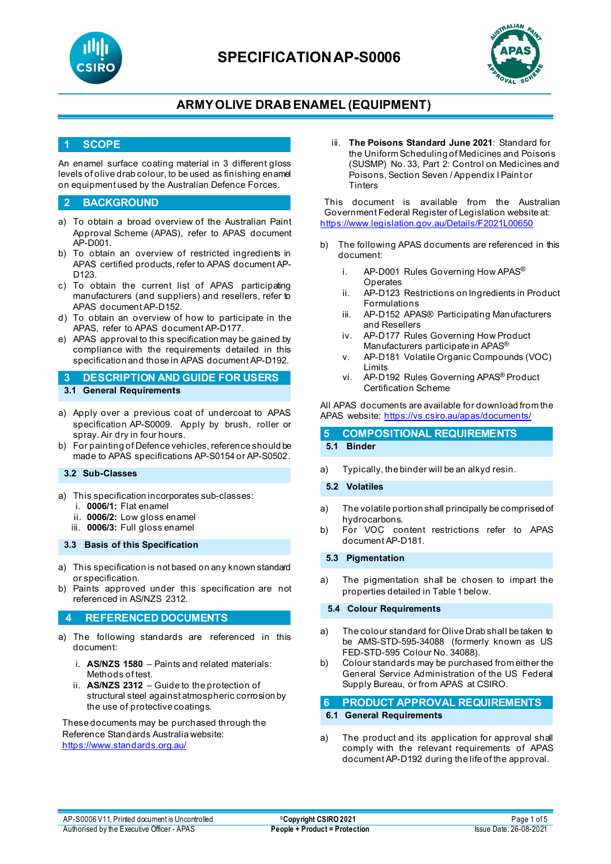



## **ARMYOLIVE DRAB ENAMEL (EQUIPMENT)**

### **1 SCOPE**

An enamel surface coating material in 3 different gloss levels of olive drab colour, to be used as finishing enamel on equipment used by the Australian Defence Forces.

### **2 BACKGROUND**

- a) To obtain a broad overview of the Australian Paint Approval Scheme (APAS), refer to APAS document AP-D001.
- b) To obtain an overview of restricted ingredients in APAS certified products, refer to APAS document AP-D123.
- c) To obtain the current list of APAS participating manufacturers (and suppliers) and resellers, refer to APAS document AP-D152.
- d) To obtain an overview of how to participate in the APAS, refer to APAS document AP-D177.
- e) APAS approval to this specification may be gained by compliance with the requirements detailed in this specification and those in APAS document AP-D192.

**3 DESCRIPTION AND GUIDE FOR USERS**

- **3.1 General Requirements**
- a) Apply over a previous coat of undercoat to APAS specification AP-S0009. Apply by brush, roller or spray. Air dry in four hours.
- b) For painting of Defence vehicles, reference should be made to APAS specifications AP-S0154 or AP-S0502.

#### **3.2 Sub-Classes**

- a) This specification incorporates sub-classes:
	- i. **0006/1:** Flat enamel
	- ii. **0006/2:** Low gloss enamel
	- iii. **0006/3:** Full gloss enamel

#### **3.3 Basis of this Specification**

- a) This specification is not based on any known standard or specification.
- b) Paints approved under this specification are not referenced in AS/NZS 2312.

### **4 REFERENCED DOCUMENTS**

- a) The following standards are referenced in this document:
	- i. **AS/NZS 1580** Paints and related materials: Methods of test.
	- ii. **AS/NZS 2312** Guide to the protection of structural steel against atmospheric corrosion by the use of protective coatings.

These documents may be purchased through the Reference Standards Australia website: <https://www.standards.org.au/>

iii. **The Poisons Standard June 2021**: Standard for the Uniform Scheduling of Medicines and Poisons (SUSMP) No. 33, Part 2: Control on Medicines and Poisons, Section Seven / Appendix I Paint or **Tinters** 

This document is available from the Australian Government Federal Register of Legislation website at: <https://www.legislation.gov.au/Details/F2021L00650>

- b) The following APAS documents are referenced in this document:
	- i. AP-D001 Rules Governing How APAS® Operates
	- ii. AP-D123 Restrictions on Ingredients in Product Formulations
	- iii. AP-D152 APAS® Participating Manufacturers and Resellers
	- iv. AP-D177 Rules Governing How Product Manufacturers participate in APAS®
	- v. AP-D181 Volatile Organic Compounds (VOC) Limits
	- vi. AP-D192 Rules Governing APAS® Product Certification Scheme

All APAS documents are available for download from the APAS website: <https://vs.csiro.au/apas/documents/>

#### **5 COMPOSITIONAL REQUIREMENTS 5.1 Binder**

a) Typically, the binder will be an alkyd resin.

#### **5.2 Volatiles**

- a) The volatile portion shall principally be comprised of hydrocarbons.
- b) For VOC content restrictions refer to APAS document AP-D181.

#### **5.3 Pigmentation**

a) The pigmentation shall be chosen to impart the properties detailed in Table 1 below.

### **5.4 Colour Requirements**

- a) The colour standard for Olive Drab shall be taken to be AMS-STD-595-34088 (formerly known as US FED-STD-595 Colour No. 34088).
- b) Colour standards may be purchased from either the General Service Administration of the US Federal Supply Bureau, or from APAS at CSIRO.

### **6 PRODUCT APPROVAL REQUIREMENTS 6.1 General Requirements**

a) The product and its application for approval shall comply with the relevant requirements of APAS document AP-D192 during the life of the approval.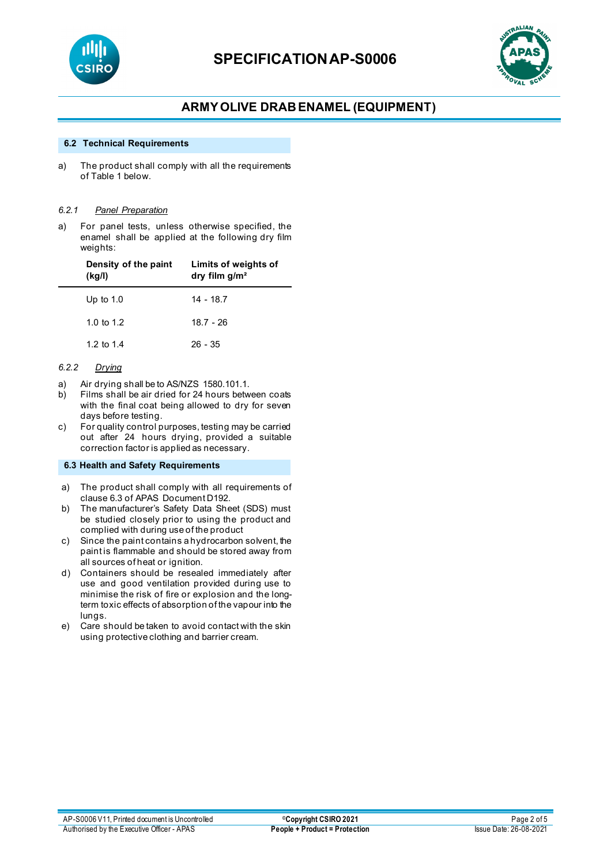



## **ARMYOLIVE DRAB ENAMEL (EQUIPMENT)**

#### **6.2 Technical Requirements**

a) The product shall comply with all the requirements of Table 1 below.

#### *6.2.1 Panel Preparation*

a) For panel tests, unless otherwise specified, the enamel shall be applied at the following dry film weights:

| Density of the paint<br>(kg/l) | Limits of weights of<br>dry film $q/m^2$ |
|--------------------------------|------------------------------------------|
| Up to $1.0$                    | $14 - 18.7$                              |
| 1.0 to 1.2                     | $18.7 - 26$                              |
| 1.2 to 1.4                     | $26 - 35$                                |

#### *6.2.2 Drying*

- a) Air drying shall be to AS/NZS 1580.101.1.<br>b) Films shall be air dried for 24 hours betw
- Films shall be air dried for 24 hours between coats with the final coat being allowed to dry for seven days before testing.
- c) For quality control purposes, testing may be carried out after 24 hours drying, provided a suitable correction factor is applied as necessary.

#### **6.3 Health and Safety Requirements**

- a) The product shall comply with all requirements of clause 6.3 of APAS Document D192.
- b) The manufacturer's Safety Data Sheet (SDS) must be studied closely prior to using the product and complied with during use of the product
- c) Since the paint contains a hydrocarbon solvent, the paint is flammable and should be stored away from all sources of heat or ignition.
- d) Containers should be resealed immediately after use and good ventilation provided during use to minimise the risk of fire or explosion and the longterm toxic effects of absorption of the vapour into the lungs.
- e) Care should be taken to avoid contact with the skin using protective clothing and barrier cream.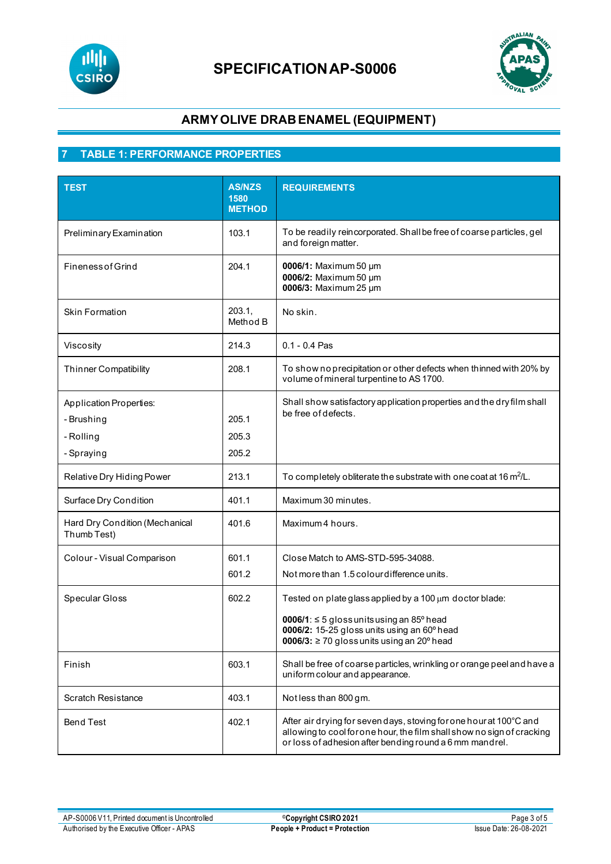



## **ARMYOLIVE DRAB ENAMEL (EQUIPMENT)**

## **7 TABLE 1: PERFORMANCE PROPERTIES**

| <b>TEST</b>                                                             | <b>AS/NZS</b><br>1580<br><b>METHOD</b> | <b>REQUIREMENTS</b>                                                                                                                                                                                                            |
|-------------------------------------------------------------------------|----------------------------------------|--------------------------------------------------------------------------------------------------------------------------------------------------------------------------------------------------------------------------------|
| Preliminary Examination                                                 | 103.1                                  | To be readily reincorporated. Shall be free of coarse particles, gel<br>and foreign matter.                                                                                                                                    |
| <b>Fineness of Grind</b>                                                | 204.1                                  | 0006/1: Maximum 50 µm<br>0006/2: Maximum 50 µm<br>0006/3: Maximum 25 µm                                                                                                                                                        |
| <b>Skin Formation</b>                                                   | 203.1.<br>Method B                     | No skin.                                                                                                                                                                                                                       |
| Viscosity                                                               | 214.3                                  | $0.1 - 0.4$ Pas                                                                                                                                                                                                                |
| <b>Thinner Compatibility</b>                                            | 208.1                                  | To show no precipitation or other defects when thinned with 20% by<br>volume of mineral turpentine to AS 1700.                                                                                                                 |
| <b>Application Properties:</b><br>- Brushing<br>- Rolling<br>- Spraying | 205.1<br>205.3<br>205.2                | Shall show satisfactory application properties and the dry film shall<br>be free of defects.                                                                                                                                   |
| Relative Dry Hiding Power                                               | 213.1                                  | To completely obliterate the substrate with one coat at 16 m <sup>2</sup> /L.                                                                                                                                                  |
| Surface Dry Condition                                                   | 401.1                                  | Maximum 30 minutes.                                                                                                                                                                                                            |
| Hard Dry Condition (Mechanical<br>Thumb Test)                           | 401.6                                  | Maximum 4 hours.                                                                                                                                                                                                               |
| Colour - Visual Comparison                                              | 601.1<br>601.2                         | Close Match to AMS-STD-595-34088.<br>Not more than 1.5 colour difference units.                                                                                                                                                |
| Specular Gloss                                                          | 602.2                                  | Tested on plate glass applied by a 100 µm doctor blade:<br>0006/1: $\leq$ 5 gloss units using an 85 $^{\circ}$ head<br>0006/2: 15-25 gloss units using an 60° head<br>0006/3: $\geq$ 70 gloss units using an 20 $\degree$ head |
| Finish                                                                  | 603.1                                  | Shall be free of coarse particles, wrinkling or orange peel and have a<br>uniform colour and appearance.                                                                                                                       |
| <b>Scratch Resistance</b>                                               | 403.1                                  | Notless than 800 gm.                                                                                                                                                                                                           |
| <b>Bend Test</b>                                                        | 402.1                                  | After air drying for seven days, stoving for one hour at 100°C and<br>allowing to cool for one hour, the film shall show no sign of cracking<br>or loss of adhesion after bending round a 6 mm mandrel.                        |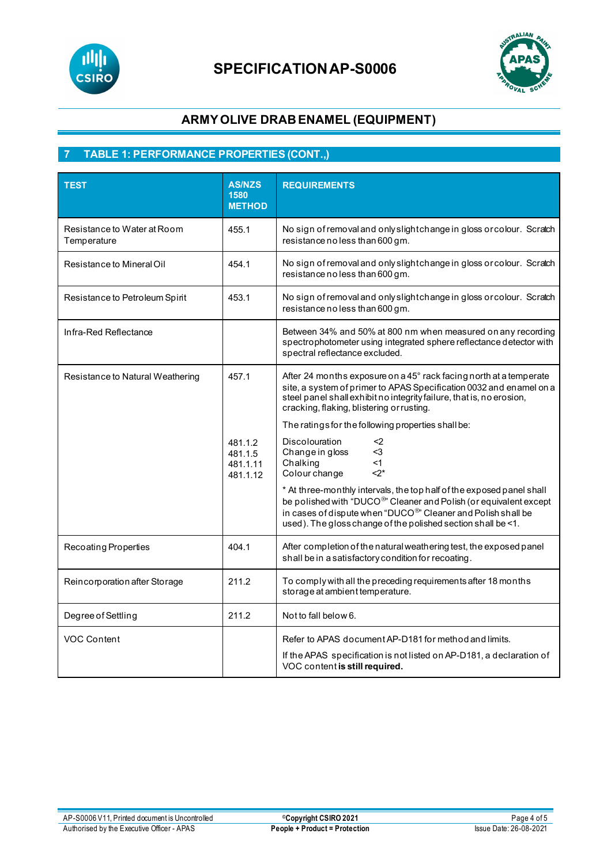



## **ARMYOLIVE DRAB ENAMEL (EQUIPMENT)**

## **7 TABLE 1: PERFORMANCE PROPERTIES (CONT.,)**

| <b>TEST</b>                                | <b>AS/NZS</b><br>1580<br><b>METHOD</b>              | <b>REQUIREMENTS</b>                                                                                                                                                                                                                                                                                                                                                                                                                                                                                                                                                                                                                                                                                                   |
|--------------------------------------------|-----------------------------------------------------|-----------------------------------------------------------------------------------------------------------------------------------------------------------------------------------------------------------------------------------------------------------------------------------------------------------------------------------------------------------------------------------------------------------------------------------------------------------------------------------------------------------------------------------------------------------------------------------------------------------------------------------------------------------------------------------------------------------------------|
| Resistance to Water at Room<br>Temperature | 455.1                                               | No sign of removal and only slightchange in gloss or colour. Scratch<br>resistance no less than 600 gm.                                                                                                                                                                                                                                                                                                                                                                                                                                                                                                                                                                                                               |
| Resistance to Mineral Oil                  | 454.1                                               | No sign of removal and only slightchange in gloss or colour. Scratch<br>resistance no less than 600 gm.                                                                                                                                                                                                                                                                                                                                                                                                                                                                                                                                                                                                               |
| Resistance to Petroleum Spirit             | 453.1                                               | No sign of removal and only slightchange in gloss or colour. Scratch<br>resistance no less than 600 gm.                                                                                                                                                                                                                                                                                                                                                                                                                                                                                                                                                                                                               |
| Infra-Red Reflectance                      |                                                     | Between 34% and 50% at 800 nm when measured on any recording<br>spectrophotometer using integrated sphere reflectance detector with<br>spectral reflectance excluded.                                                                                                                                                                                                                                                                                                                                                                                                                                                                                                                                                 |
| Resistance to Natural Weathering           | 457.1<br>481.1.2<br>481.1.5<br>481.1.11<br>481.1.12 | After 24 months exposure on a 45° rack facing north at a temperate<br>site, a system of primer to APAS Specification 0032 and enamel on a<br>steel panel shall exhibit no integrity failure, that is, no erosion,<br>cracking, flaking, blistering orrusting.<br>The ratings for the following properties shall be:<br><b>Discolouration</b><br><2<br>Change in gloss<br>$<$ 3<br>Chalking<br><1<br>Colour change<br>$2^*$<br>* At three-monthly intervals, the top half of the exposed panel shall<br>be polished with "DUCO <sup>®</sup> " Cleaner and Polish (or equivalent except<br>in cases of dispute when "DUCO®" Cleaner and Polish shall be<br>used). The gloss change of the polished section shall be <1. |
| Recoating Properties                       | 404.1                                               | After completion of the natural weathering test, the exposed panel<br>shall be in a satisfactory condition for recoating.                                                                                                                                                                                                                                                                                                                                                                                                                                                                                                                                                                                             |
| Reincorporation after Storage              | 211.2                                               | To comply with all the preceding requirements after 18 months<br>storage at ambient temperature.                                                                                                                                                                                                                                                                                                                                                                                                                                                                                                                                                                                                                      |
| Degree of Settling                         | 211.2                                               | Not to fall below 6.                                                                                                                                                                                                                                                                                                                                                                                                                                                                                                                                                                                                                                                                                                  |
| VOC Content                                |                                                     | Refer to APAS document AP-D181 for method and limits.<br>If the APAS specification is not listed on AP-D181, a declaration of<br>VOC content is still required.                                                                                                                                                                                                                                                                                                                                                                                                                                                                                                                                                       |